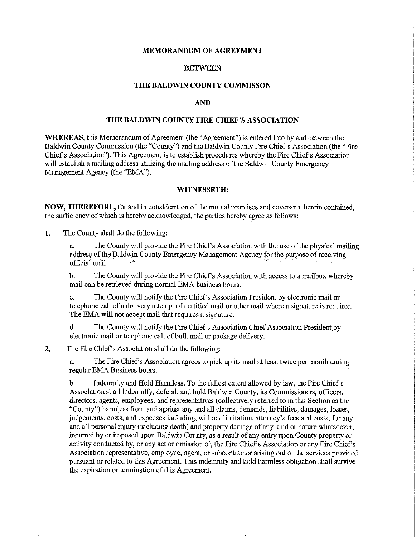## **MEMORANDUM OF AGREEMENT**

## **BETWEEN**

### **THE BALDWIN COUNTY COMMISSON**

# **AND**

# **THE BALDWIN COUNTY FIRE CHIEF'S ASSOCIATION**

**WHEREAS,** this Memorandum of Agreement (the "Agreement") is entered into by and between the Baldwin County Commission (the "County") and the Baldwin County Fire Chief's Association (the "Fire Chief's Association"). This Agreement is to establish procedures whereby the Fire Chief's Association will establish a mailing address utilizing the mailing address of the Baldwin County Emergency Management Agency (the "EMA").

#### **WITNESSETH:**

**NOW, THEREFORE,** for and in consideration of the mutual promises and covenants herein contained, the sufficiency of which is hereby acknowledged, the parties hereby agree as follows:

1. The County shall do the following:

a. The County will provide the Fire Chief's Association with the use of the physical mailing address of the Baldwin County Emergency Management Agency for the purpose of receiving<br>official mail official mail.

b. The County will provide the Fire Chief's Association with access to a mailbox whereby mail can be retrieved during normal EMA business hours.

c. The County will notify the Fire Chief's Association President by electronic mail or telephone call of a delivery attempt of certified mail or other mail where a signature is required. The EMA will not accept mail that requires a signature.

d. The County will notify the Fire Chief's Association Chief Association President by electronic mail or telephone call of bulk mail or package delivery.

2. The Fire Chief's Association shall do the following:

a. The Fire Chief's Association agrees to pick up its mail at least twice per month during regular EMA Business hours.

b. Indemnity and Hold Harmless. To the fullest extent allowed by law, the Fire Chiefs Association shall indemnify, defend, and hold Baldwin County, its Commissioners, officers, directors, agents, employees, and representatives (collectively referred to in this Section as the "County") harmless from and against any and all claims, demands, liabilities, damages, losses, judgements, costs, and expenses including, without limitation, attorney's fees and costs, for any and all personal injury (including death) and property damage of any kind or nature whatsoever, incurred by or imposed upon Baldwin County, as a result of any entry upon County property or activity conducted by, or any act or omission of, the Fire Chief's Association or any Fire Chief's Association representative, employee, agent, or subcontractor arising out of the services provided pursuant or related to this Agreement. This indemnity and hold harmless obligation shall survive the expiration or termination of this Agreement.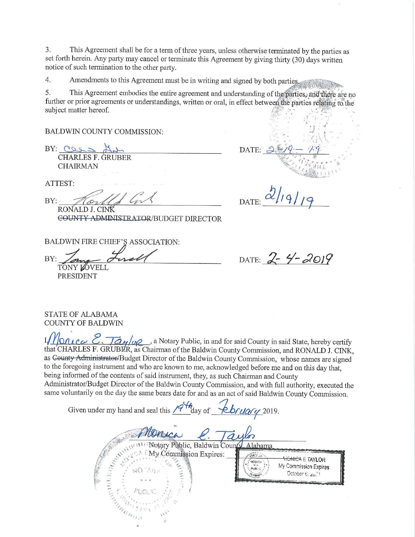3. This Agreement shall be for a term of three years, unless otherwise terminated by the parties as set forth herein. Any party may cancel or terminate this Agreement by giving thirty (30) days written notice of such termination to the other party.

 $4.$ Amendments to this Agreement must be in writing and signed by both parties.

5. This Agreement embodies the entire agreement and understanding of the parties, and there are no further or prior agreements or understandings, written or oral, in effect between the parties relating to the subject matter hereof.

**BALDWIN COUNTY COMMISSION:** 

 $BY: CQQ2$ **CHARLES F. GRUBER CHAIRMAN** 

ATTEST:

BY: RONALD J. CINK **COUNTY ADMINISTRATOR/BUDGET DIRECTOR** 

DATE:

DATE:

BALDWIN FIRE CHIEF'S ASSOCIATION:

BY: TONY LOVELI **PRESIDENT** 

DATE:  $2 - 4 - 2019$ 

**STATE OF ALABAMA COUNTY OF BALDWIN** 

IMONICO E. Taylog, a Notary Public, in and for said County in said State, hereby certify that CHARLES F. GRUBER, as Chairman of the Baldwin County Commission, and RONALD J. CINK, as County Administrator/Budget Director of the Baldwin County Commission, whose names are signed to the foregoing instrument and who are known to me, acknowledged before me and on this day that, being informed of the contents of said instrument, they, as such Chairman and County Administrator/Budget Director of the Baldwin County Commission, and with full authority, executed the same voluntarily on the day the same bears date for and as an act of said Baldwin County Commission.

| Given under my hand and seal this $\frac{1}{4}$ day of $\frac{1}{4}$ $\frac{1}{4}$ $\frac{1}{4}$ $\frac{1}{4}$ $\frac{1}{4}$ $\frac{1}{4}$ $\frac{1}{4}$ |                                                                                                      |
|----------------------------------------------------------------------------------------------------------------------------------------------------------|------------------------------------------------------------------------------------------------------|
| Wotary Public, Baldwin County, Alabama                                                                                                                   |                                                                                                      |
| Commission Expires:<br>NO MAZ                                                                                                                            | <b><i>HONICA E TAYLOR</i></b><br><b>YOTAF1</b><br>My Commission Expires<br>PUBL.<br>October 6, zu.31 |
| PUDLIC<br><b>SIMBON</b>                                                                                                                                  |                                                                                                      |